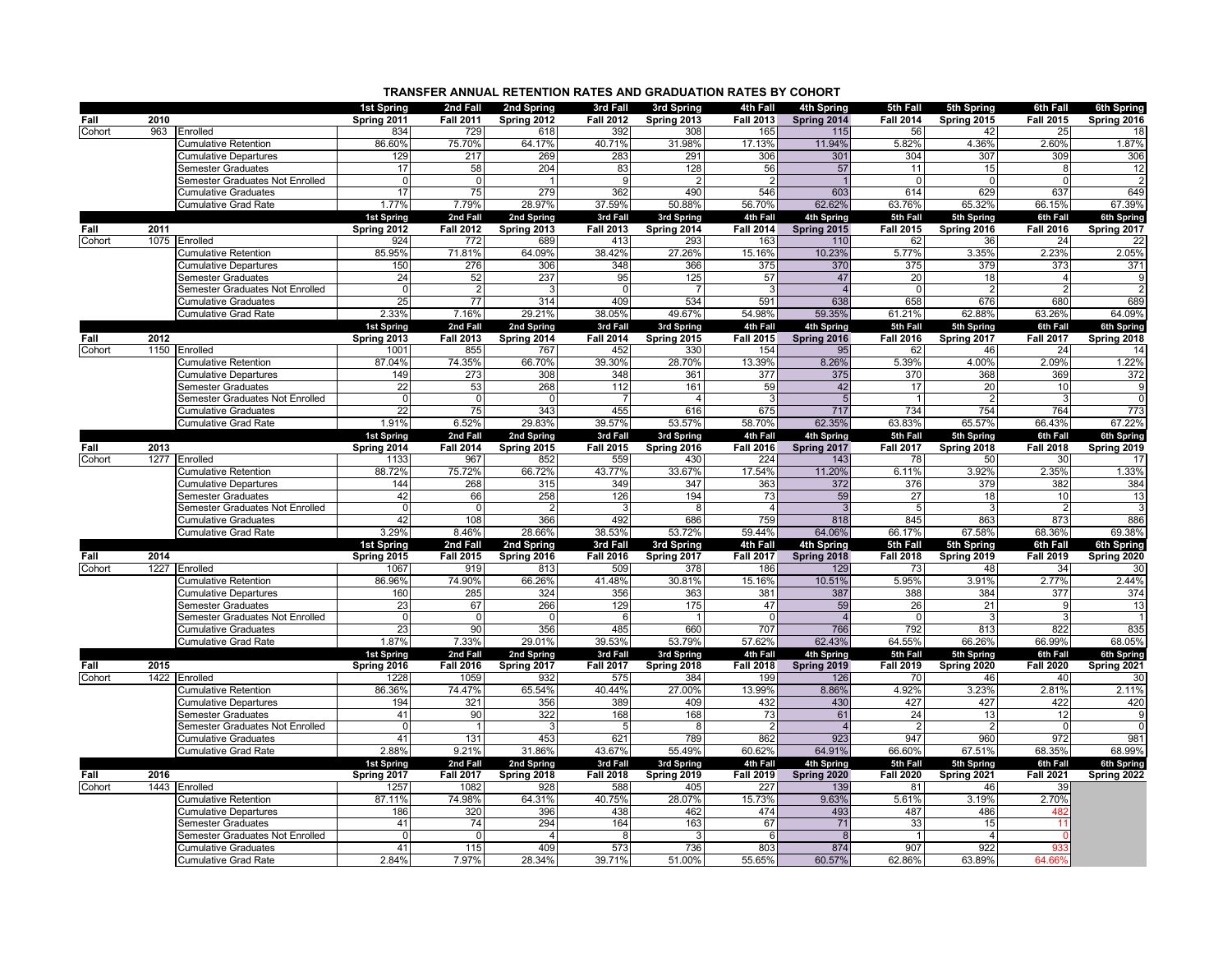| TRANSFER ANNUAL RETENTION RATES AND GRADUATION RATES BY COHORT |  |
|----------------------------------------------------------------|--|
|                                                                |  |

|        |      |                                                              | <b>1st Spring</b>           | 2nd Fall                     | 2nd Spring                | 3rd Fall                     | 3rd Spring                      | 4th Fall                     | 4th Spring                | 5th Fall                     | 5th Spring                | 6th Fall                     | 6th Spring                |
|--------|------|--------------------------------------------------------------|-----------------------------|------------------------------|---------------------------|------------------------------|---------------------------------|------------------------------|---------------------------|------------------------------|---------------------------|------------------------------|---------------------------|
| Fall   | 2010 |                                                              | Spring 2011                 | <b>Fall 2011</b>             | Spring 2012               | <b>Fall 2012</b>             | Spring 2013                     | <b>Fall 2013</b>             | Spring 2014               | <b>Fall 2014</b>             | Spring 2015               | <b>Fall 2015</b>             | Spring 2016               |
| Cohort | 963  | Enrolled                                                     | 834                         | 729                          | 618                       | 392                          | 308                             | 165                          | 115                       | 56                           | 42                        | 25                           | 18                        |
|        |      | <b>Cumulative Retention</b>                                  | 86.60%                      | 75.70%                       | 64.17%                    | 40.71%                       | 31.98%                          | 17.13%                       | 11.94%                    | 5.82%                        | 4.36%                     | 2.60%                        | 1.87%                     |
|        |      | <b>Cumulative Departures</b>                                 | 129                         | 217                          | 269                       | 283                          | 291                             | 306                          | 301                       | 304                          | 307                       | 309                          | 306                       |
|        |      | Semester Graduates                                           | 17                          | 58                           | 204                       | 83                           | 128                             | 56                           | 57                        | 11                           | 15                        | 8                            | 12                        |
|        |      | Semester Graduates Not Enrolled                              | $\Omega$                    | $\Omega$                     |                           | q                            |                                 | $\mathcal{P}$                |                           | $\Omega$                     | $\Omega$                  | U                            |                           |
|        |      | <b>Cumulative Graduates</b>                                  | 17                          | 75                           | 279                       | 362                          | 490                             | 546                          | 603                       | 614                          | 629                       | 637                          | 649                       |
|        |      | <b>Cumulative Grad Rate</b>                                  | 1.77%                       | 7.79%                        | 28.97%                    | 37.59%                       | 50.88%                          | 56.70%                       | 62.62%                    | 63.76%                       | 65.32%                    | 66.15%                       | 67.39%                    |
| Fall   | 2011 |                                                              | 1st Spring<br>Spring 2012   | 2nd Fall<br><b>Fall 2012</b> | 2nd Spring<br>Spring 2013 | 3rd Fall<br><b>Fall 2013</b> | 3rd Spring<br>Spring 2014       | 4th Fall<br><b>Fall 2014</b> | 4th Spring<br>Spring 2015 | 5th Fall<br><b>Fall 2015</b> | 5th Spring<br>Spring 2016 | 6th Fall<br><b>Fall 2016</b> | 6th Spring<br>Spring 2017 |
| Cohort |      | 1075 Enrolled                                                | 924                         | 772                          | 689                       | 413                          | 293                             | 163                          | 110                       | 62                           | 36                        | 24                           | 22                        |
|        |      | <b>Cumulative Retention</b>                                  | 85.95%                      | 71.81%                       | 64.09%                    | 38.42%                       | 27.26%                          | 15.16%                       | 10.23%                    | 5.77%                        | 3.35%                     | 2.23%                        | 2.05%                     |
|        |      | <b>Cumulative Departures</b>                                 | 150                         | 276                          | 306                       | 348                          | 366                             | 375                          | 370                       | 375                          | 379                       | 373                          | 371                       |
|        |      | <b>Semester Graduates</b>                                    | 24                          | 52                           | 237                       | 95                           | 125                             | 57                           | 47                        | 20                           | 18                        | 4                            | <sub>9</sub>              |
|        |      | Semester Graduates Not Enrolled                              | $\Omega$                    |                              | -3                        | $\Omega$                     | -7                              | 3                            | $\overline{4}$            | $\Omega$                     | $\mathcal{P}$             | 2                            | $\overline{2}$            |
|        |      | <b>Cumulative Graduates</b>                                  | 25                          | 77                           | 314                       | 409                          | 534                             | 591                          | 638                       | 658                          | 676                       | 680                          | 689                       |
|        |      | <b>Cumulative Grad Rate</b>                                  | 2.33%                       | 7.16%                        | 29.21%                    | 38.05%                       | 49.67%                          | 54.98%                       | 59.35%                    | 61.21%                       | 62.88%                    | 63.26%                       | 64.09%                    |
|        |      |                                                              | <b>1st Spring</b>           | 2nd Fall                     | 2nd Spring                | 3rd Fall                     | 3rd Spring                      | 4th Fall                     | 4th Spring                | 5th Fall                     | 5th Spring                | 6th Fall                     | 6th Spring                |
| Fall   | 2012 |                                                              | Spring 2013                 | <b>Fall 2013</b>             | Spring 2014               | <b>Fall 2014</b>             | Spring 2015                     | Fall 2015                    | Spring 2016               | <b>Fall 2016</b>             | Spring 2017               | <b>Fall 2017</b>             | Spring 2018               |
| Cohort |      | 1150 Enrolled                                                | 1001                        | 855                          | 767                       | 452                          | 330                             | 154                          | 95                        | 62                           | 46                        | 24                           | 14                        |
|        |      | <b>Cumulative Retention</b>                                  | 87.04%                      | 74.35%                       | 66.70%                    | 39.30%                       | 28.70%                          | 13.39%                       | 8.26%                     | 5.39%                        | 4.00%                     | 2.09%                        | 1.22%                     |
|        |      | <b>Cumulative Departures</b>                                 | 149                         | 273                          | 308                       | 348                          | 361                             | 377                          | 375                       | 370                          | 368                       | 369                          | 372                       |
|        |      | <b>Semester Graduates</b><br>Semester Graduates Not Enrolled | $\overline{22}$<br>$\Omega$ | 53<br>$\Omega$               | 268<br>$\Omega$           | 112                          | 161<br>$\boldsymbol{\varDelta}$ | 59<br>3                      | 42<br>$5\overline{5}$     | 17<br>$\overline{1}$         | 20                        | 10<br>3                      | 9<br>$\overline{0}$       |
|        |      | <b>Cumulative Graduates</b>                                  | 22                          | 75                           | 343                       | 455                          | 616                             | 675                          | 717                       | 734                          | 754                       | 764                          | 773                       |
|        |      | <b>Cumulative Grad Rate</b>                                  | 1.91%                       | 6.52%                        | 29.83%                    | 39.57%                       | 53.57%                          | 58.70%                       | 62.35%                    | 63.83%                       | 65.57%                    | 66.43%                       | 67.22%                    |
|        |      |                                                              | 1st Spring                  | 2nd Fall                     | 2nd Spring                | 3rd Fall                     | 3rd Spring                      | 4th Fall                     | 4th Spring                | 5th Fall                     | 5th Spring                | 6th Fall                     | 6th Spring                |
| Fall   | 2013 |                                                              | Spring 2014                 | <b>Fall 2014</b>             | Spring 2015               | <b>Fall 2015</b>             | Spring 2016                     | <b>Fall 2016</b>             | Spring 2017               | <b>Fall 2017</b>             | Spring 2018               | <b>Fall 2018</b>             | Spring 2019               |
| Cohort |      | 1277 Enrolled                                                | 1133                        | 967                          | 852                       | 559                          | 430                             | 224                          | 143                       | 78                           | 50                        | 30                           | 17                        |
|        |      | <b>Cumulative Retention</b>                                  | 88.72%                      | 75.72%                       | 66.72%                    | 43.77%                       | 33.67%                          | 17.54%                       | 11.20%                    | 6.11%                        | 3.92%                     | 2.35%                        | 1.33%                     |
|        |      | <b>Cumulative Departures</b>                                 | 144                         | 268                          | 315                       | 349                          | 347                             | 363                          | 372                       | 376                          | 379                       | 382                          | 384                       |
|        |      | <b>Semester Graduates</b>                                    | 42                          | 66                           | 258                       | 126                          | 194                             | 73                           | 59                        | 27                           | 18                        | 10                           | 13                        |
|        |      | Semester Graduates Not Enrolled                              | $\Omega$                    | $\Omega$                     |                           |                              | 8                               | 4                            |                           | -5                           |                           |                              |                           |
|        |      | <b>Cumulative Graduates</b>                                  | 42                          | 108                          | 366                       | 492                          | 686                             | 759                          | 818                       | 845                          | 863                       | 873                          | 886                       |
|        |      | <b>Cumulative Grad Rate</b>                                  | 3.29%<br>1st Spring         | 8.46%<br>2nd Fall            | 28.66%<br>2nd Spring      | 38.53%<br>3rd Fall           | 53.72%<br>3rd Spring            | 59.44%<br>4th Fall           | 64.06%<br>4th Spring      | 66.17%<br>5th Fall           | 67.58%<br>5th Spring      | 68.36%<br>6th Fall           | 69.38%<br>6th Spring      |
| Fall   | 2014 |                                                              | Spring 2015                 | <b>Fall 2015</b>             | Spring 2016               | <b>Fall 2016</b>             | Spring 2017                     | <b>Fall 2017</b>             | Spring 2018               | <b>Fall 2018</b>             | Spring 2019               | <b>Fall 2019</b>             | Spring 2020               |
| Cohort |      | 1227 Enrolled                                                | 1067                        | 919                          | 813                       | 509                          | 378                             | 186                          | 129                       | 73                           | 48                        | 34                           | 30                        |
|        |      | <b>Cumulative Retention</b>                                  | 86.96%                      | 74.90%                       | 66.26%                    | 41.48%                       | 30.81%                          | 15.16%                       | 10.51%                    | 5.95%                        | 3.91%                     | 2.77%                        | 2.44%                     |
|        |      | <b>Cumulative Departures</b>                                 | 160                         | 285                          | 324                       | 356                          | 363                             | 381                          | 387                       | 388                          | 384                       | 377                          | 374                       |
|        |      | Semester Graduates                                           | 23                          | 67                           | 266                       | 129                          | 175                             | 47                           | 59                        | 26                           | 21                        | 9                            | 13                        |
|        |      | Semester Graduates Not Enrolled                              | $\Omega$                    | $\Omega$                     | $\Omega$                  | 6                            |                                 | $\Omega$                     | $\overline{4}$            | $\Omega$                     | 3                         | 3                            | $\overline{\mathbf{1}}$   |
|        |      | <b>Cumulative Graduates</b>                                  | 23                          | 90                           | 356                       | 485                          | 660                             | 707                          | 766                       | 792                          | 813                       | 822                          | 835                       |
|        |      | <b>Cumulative Grad Rate</b>                                  | 1.87%                       | 7.33%                        | 29.01%                    | 39.53%                       | 53.79%                          | 57.62%                       | 62.43%                    | 64.55%                       | 66.26%                    | 66.99%                       | 68.05%                    |
|        |      |                                                              | 1st Spring                  | 2nd Fall                     | 2nd Spring                | 3rd Fall                     | 3rd Spring                      | 4th Fall                     | 4th Spring                | 5th Fall                     | 5th Spring                | 6th Fall                     | 6th Spring                |
| Fall   | 2015 |                                                              | Spring 2016                 | <b>Fall 2016</b>             | Spring 2017               | <b>Fall 2017</b>             | Spring 2018                     | <b>Fall 2018</b>             | Spring 2019               | <b>Fall 2019</b>             | Spring 2020               | <b>Fall 2020</b>             | Spring 2021               |
| Cohort |      | 1422 Enrolled                                                | 1228                        | 1059                         | 932                       | 575                          | 384                             | 199                          | 126                       | 70                           | 46                        | 40                           | 30                        |
|        |      | <b>Cumulative Retention</b>                                  | 86.36%                      | 74.47%                       | 65.54%                    | 40.44%                       | 27.00%                          | 13.99%                       | 8.86%                     | 4.92%                        | 3.23%                     | 2.81%                        | 2.11%                     |
|        |      | <b>Cumulative Departures</b>                                 | 194<br>41                   | 321                          | 356<br>322                | 389<br>168                   | 409<br>168                      | 432                          | 430                       | 427                          | 427                       | 422                          | 420                       |
|        |      | <b>Semester Graduates</b><br>Semester Graduates Not Enrolled | $\Omega$                    | 90                           |                           |                              | 8                               | 73<br>$\overline{2}$         | 61<br>$\overline{4}$      | 24                           | 13                        | 12<br>$\Omega$               | 9<br>$\Omega$             |
|        |      | <b>Cumulative Graduates</b>                                  | 41                          | 131                          | 453                       | 621                          | 789                             | 862                          | 923                       | 947                          | 960                       | 972                          | 981                       |
|        |      | <b>Cumulative Grad Rate</b>                                  | 2.88%                       | 9.21%                        | 31.86%                    | 43.67%                       | 55.49%                          | 60.62%                       | 64.91%                    | 66.60%                       | 67.51%                    | 68.35%                       | 68.99%                    |
|        |      |                                                              | 1st Spring                  | 2nd Fall                     | 2nd Spring                | 3rd Fall                     | 3rd Spring                      | 4th Fall                     | 4th Spring                | 5th Fall                     | 5th Spring                | 6th Fall                     | 6th Spring                |
| Fall   | 2016 |                                                              | Spring 2017                 | <b>Fall 2017</b>             | Spring 2018               | <b>Fall 2018</b>             | Spring 2019                     | <b>Fall 2019</b>             | Spring 2020               | <b>Fall 2020</b>             | Spring 2021               | <b>Fall 2021</b>             | Spring 2022               |
| Cohort |      | 1443 Enrolled                                                | 1257                        | 1082                         | 928                       | 588                          | 405                             | 227                          | 139                       | 81                           | 46                        | 39                           |                           |
|        |      | <b>Cumulative Retention</b>                                  | 87.11%                      | 74.98%                       | 64.31%                    | 40.75%                       | 28.07%                          | 15.73%                       | 9.63%                     | 5.61%                        | 3.19%                     | 2.70%                        |                           |
|        |      | <b>Cumulative Departures</b>                                 | 186                         | 320                          | 396                       | 438                          | 462                             | 474                          | 493                       | 487                          | 486                       | 482                          |                           |
|        |      | <b>Semester Graduates</b>                                    | 41                          | 74                           | 294                       | 164                          | 163                             | 67                           | 71                        | 33                           | 15                        | 1                            |                           |
|        |      | Semester Graduates Not Enrolled                              | $\Omega$                    | $\Omega$                     |                           |                              |                                 | 6                            | $\mathbf{R}$              |                              |                           |                              |                           |
|        |      | <b>Cumulative Graduates</b>                                  | 41                          | 115                          | 409                       | 573                          | 736                             | 803                          | 874                       | 907                          | 922                       | 933                          |                           |
|        |      | <b>Cumulative Grad Rate</b>                                  | 2.84%                       | 7.97%                        | 28.34%                    | 39.71%                       | 51.00%                          | 55.65%                       | 60.57%                    | 62.86%                       | 63.89%                    | 64.66                        |                           |